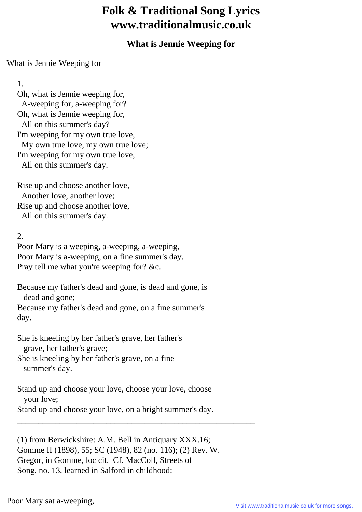## **Folk & Traditional Song Lyrics www.traditionalmusic.co.uk**

## **What is Jennie Weeping for**

## What is Jennie Weeping for

1.

 Oh, what is Jennie weeping for, A-weeping for, a-weeping for? Oh, what is Jennie weeping for, All on this summer's day? I'm weeping for my own true love, My own true love, my own true love; I'm weeping for my own true love, All on this summer's day.

 Rise up and choose another love, Another love, another love; Rise up and choose another love, All on this summer's day.

2.

 Poor Mary is a weeping, a-weeping, a-weeping, Poor Mary is a-weeping, on a fine summer's day. Pray tell me what you're weeping for? &c.

 Because my father's dead and gone, is dead and gone, is dead and gone;

 Because my father's dead and gone, on a fine summer's day.

 She is kneeling by her father's grave, her father's grave, her father's grave;

 She is kneeling by her father's grave, on a fine summer's day.

 Stand up and choose your love, choose your love, choose your love;

Stand up and choose your love, on a bright summer's day.

\_\_\_\_\_\_\_\_\_\_\_\_\_\_\_\_\_\_\_\_\_\_\_\_\_\_\_\_\_\_\_\_\_\_\_\_\_\_\_\_\_\_\_\_\_\_\_\_\_\_\_\_\_\_\_\_

 (1) from Berwickshire: A.M. Bell in Antiquary XXX.16; Gomme II (1898), 55; SC (1948), 82 (no. 116); (2) Rev. W. Gregor, in Gomme, loc cit. Cf. MacColl, Streets of Song, no. 13, learned in Salford in childhood: